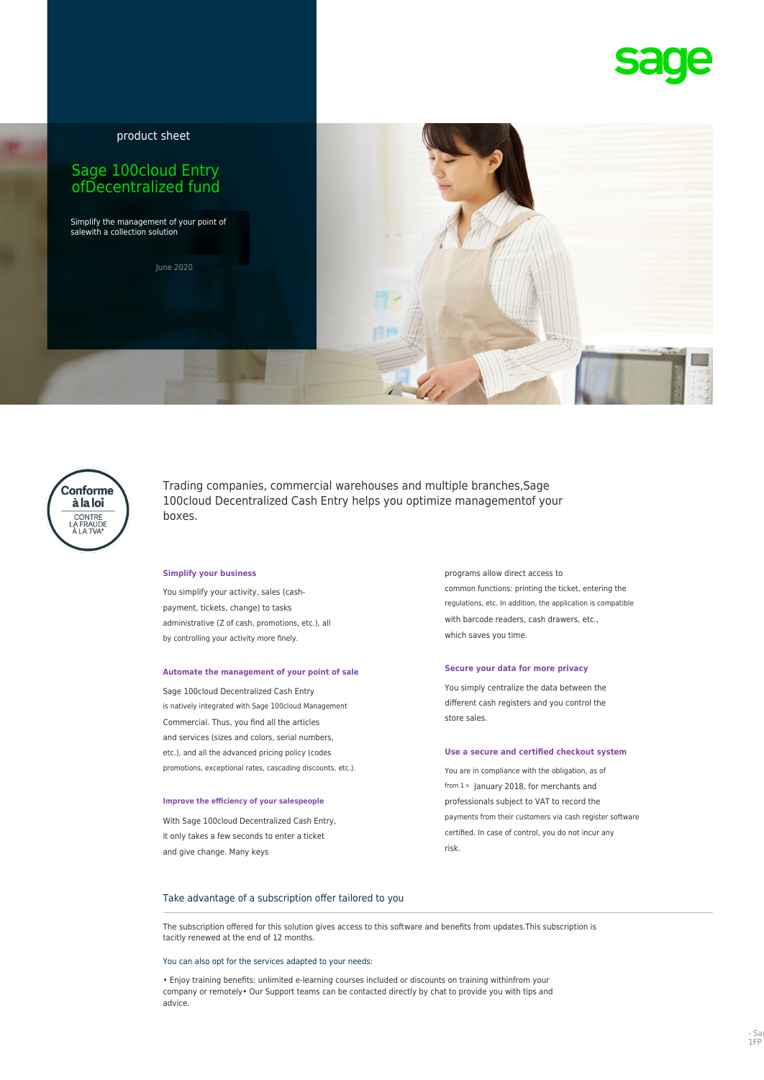

product sheet

# Sage 100cloud Entry ofDecentralized fund

Simplify the management of your point of salewith a collection solution

June 2020



Trading companies, commercial warehouses and multiple branches,Sage 100cloud Decentralized Cash Entry helps you optimize managementof your boxes.

with barcode readers, cash drawers, etc., administrative (Z of cash, promotions, etc.), all by controlling your activity more finely.  $\blacksquare$ 

# **Secure your data for more privacy Automate the management of your point of sale**

different cash registers and you control the is natively integrated with Sage 100cloud Management store sales. Commercial. Thus, you find all the articles and services (sizes and colors, serial numbers, etc.), and all the advanced pricing policy (codes **Use a secure and certified checkout system** promotions, exceptional rates, cascading discounts, etc.). You are in compliance with the obligation, as of

it only takes a few seconds to enter a ticket example to the second of control, you do not incur any and give change. Many keys and give change. Many keys

**Simplify your business programs allow direct access to** common functions: printing the ticket, entering the You simplify your activity, sales (cashregulations, etc. In addition, the application is compatible payment, tickets, change) to tasks

Sage 100cloud Decentralized Cash Entry Sage 100cloud Decentralized Cash Entry

from  $1^{is}$  January 2018, for merchants and **Improve the efficiency of your salespeople professionals subject to VAT to record the** With Sage 100cloud Decentralized Cash Entry, example of the payments from their customers via cash register software

# Take advantage of a subscription offer tailored to you

The subscription offered for this solution gives access to this software and benefits from updates.This subscription is tacitly renewed at the end of 12 months.

### You can also opt for the services adapted to your needs:

• Enjoy training benefits: unlimited e-learning courses included or discounts on training withinfrom your company or remotely• Our Support teams can be contacted directly by chat to provide you with tips and advice.